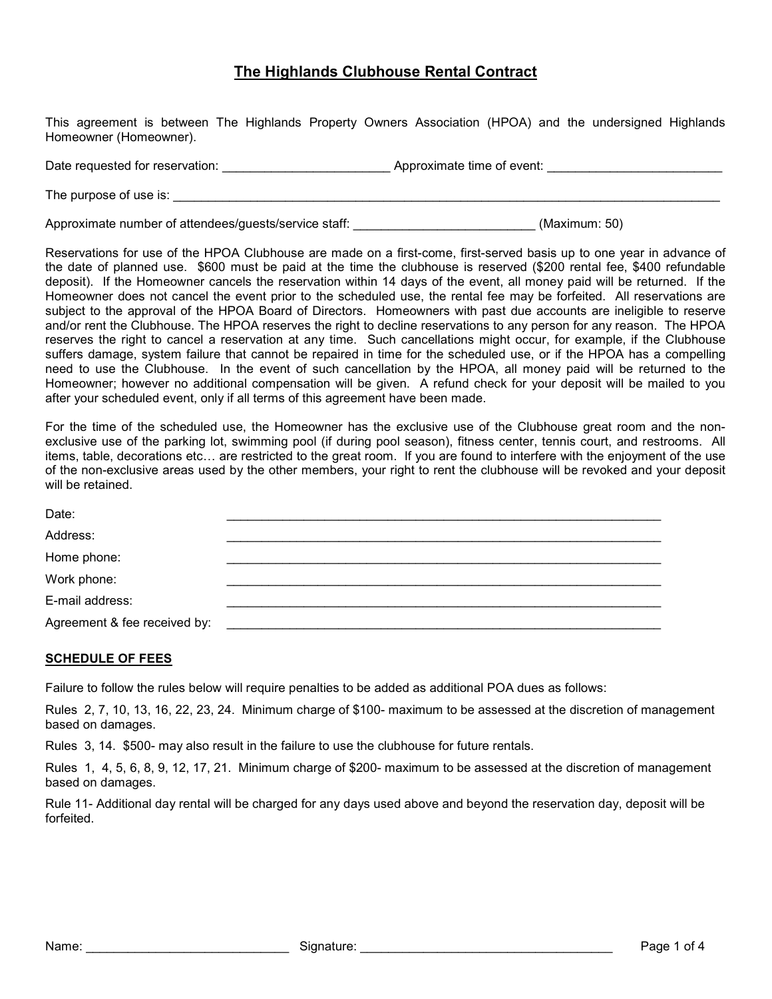## The Highlands Clubhouse Rental Contract

This agreement is between The Highlands Property Owners Association (HPOA) and the undersigned Highlands Homeowner (Homeowner).

Date requested for reservation: \_\_\_\_\_\_\_\_\_\_\_\_\_\_\_\_\_\_\_\_\_\_\_\_ Approximate time of event: \_\_\_\_\_\_\_\_\_\_\_\_\_\_\_\_\_\_\_\_\_\_\_\_\_

The purpose of use is: \_\_\_\_\_\_\_\_\_\_\_\_\_\_\_\_\_\_\_\_\_\_\_\_\_\_\_\_\_\_\_\_\_\_\_\_\_\_\_\_\_\_\_\_\_\_\_\_\_\_\_\_\_\_\_\_\_\_\_\_\_\_\_\_\_\_\_\_\_\_\_\_\_\_\_\_\_\_

Approximate number of attendees/guests/service staff: <br>
and the staff: example the status (Maximum: 50)

Reservations for use of the HPOA Clubhouse are made on a first-come, first-served basis up to one year in advance of the date of planned use. \$600 must be paid at the time the clubhouse is reserved (\$200 rental fee, \$400 refundable deposit). If the Homeowner cancels the reservation within 14 days of the event, all money paid will be returned. If the Homeowner does not cancel the event prior to the scheduled use, the rental fee may be forfeited. All reservations are subject to the approval of the HPOA Board of Directors. Homeowners with past due accounts are ineligible to reserve and/or rent the Clubhouse. The HPOA reserves the right to decline reservations to any person for any reason. The HPOA reserves the right to cancel a reservation at any time. Such cancellations might occur, for example, if the Clubhouse suffers damage, system failure that cannot be repaired in time for the scheduled use, or if the HPOA has a compelling need to use the Clubhouse. In the event of such cancellation by the HPOA, all money paid will be returned to the Homeowner; however no additional compensation will be given. A refund check for your deposit will be mailed to you after your scheduled event, only if all terms of this agreement have been made.

For the time of the scheduled use, the Homeowner has the exclusive use of the Clubhouse great room and the nonexclusive use of the parking lot, swimming pool (if during pool season), fitness center, tennis court, and restrooms. All items, table, decorations etc… are restricted to the great room. If you are found to interfere with the enjoyment of the use of the non-exclusive areas used by the other members, your right to rent the clubhouse will be revoked and your deposit will be retained.

| Date:                        |  |
|------------------------------|--|
| Address:                     |  |
| Home phone:                  |  |
| Work phone:                  |  |
| E-mail address:              |  |
| Agreement & fee received by: |  |

## SCHEDULE OF FEES

Failure to follow the rules below will require penalties to be added as additional POA dues as follows:

Rules 2, 7, 10, 13, 16, 22, 23, 24. Minimum charge of \$100- maximum to be assessed at the discretion of management based on damages.

Rules 3, 14. \$500- may also result in the failure to use the clubhouse for future rentals.

Rules 1, 4, 5, 6, 8, 9, 12, 17, 21. Minimum charge of \$200- maximum to be assessed at the discretion of management based on damages.

Rule 11- Additional day rental will be charged for any days used above and beyond the reservation day, deposit will be forfeited.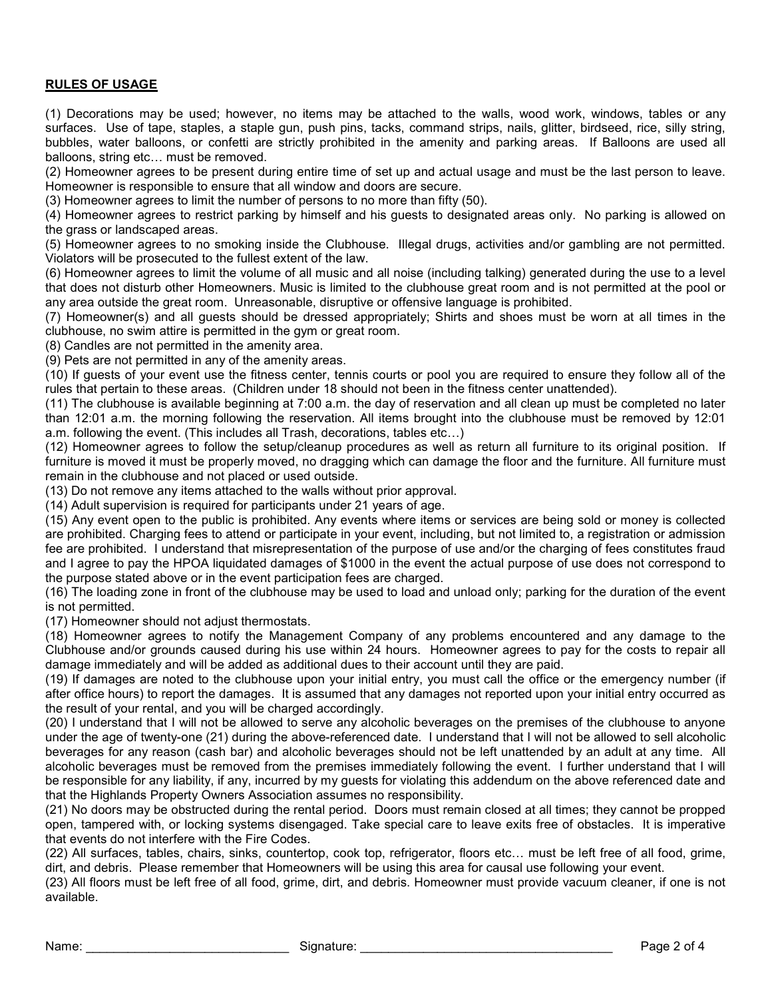## RULES OF USAGE

(1) Decorations may be used; however, no items may be attached to the walls, wood work, windows, tables or any surfaces. Use of tape, staples, a staple gun, push pins, tacks, command strips, nails, glitter, birdseed, rice, silly string, bubbles, water balloons, or confetti are strictly prohibited in the amenity and parking areas. If Balloons are used all balloons, string etc… must be removed.

(2) Homeowner agrees to be present during entire time of set up and actual usage and must be the last person to leave. Homeowner is responsible to ensure that all window and doors are secure.

(3) Homeowner agrees to limit the number of persons to no more than fifty (50).

(4) Homeowner agrees to restrict parking by himself and his guests to designated areas only. No parking is allowed on the grass or landscaped areas.

(5) Homeowner agrees to no smoking inside the Clubhouse. Illegal drugs, activities and/or gambling are not permitted. Violators will be prosecuted to the fullest extent of the law.

(6) Homeowner agrees to limit the volume of all music and all noise (including talking) generated during the use to a level that does not disturb other Homeowners. Music is limited to the clubhouse great room and is not permitted at the pool or any area outside the great room. Unreasonable, disruptive or offensive language is prohibited.

(7) Homeowner(s) and all guests should be dressed appropriately; Shirts and shoes must be worn at all times in the clubhouse, no swim attire is permitted in the gym or great room.

(8) Candles are not permitted in the amenity area.

(9) Pets are not permitted in any of the amenity areas.

(10) If guests of your event use the fitness center, tennis courts or pool you are required to ensure they follow all of the rules that pertain to these areas. (Children under 18 should not been in the fitness center unattended).

(11) The clubhouse is available beginning at 7:00 a.m. the day of reservation and all clean up must be completed no later than 12:01 a.m. the morning following the reservation. All items brought into the clubhouse must be removed by 12:01 a.m. following the event. (This includes all Trash, decorations, tables etc…)

(12) Homeowner agrees to follow the setup/cleanup procedures as well as return all furniture to its original position. If furniture is moved it must be properly moved, no dragging which can damage the floor and the furniture. All furniture must remain in the clubhouse and not placed or used outside.

(13) Do not remove any items attached to the walls without prior approval.

(14) Adult supervision is required for participants under 21 years of age.

(15) Any event open to the public is prohibited. Any events where items or services are being sold or money is collected are prohibited. Charging fees to attend or participate in your event, including, but not limited to, a registration or admission fee are prohibited. I understand that misrepresentation of the purpose of use and/or the charging of fees constitutes fraud and I agree to pay the HPOA liquidated damages of \$1000 in the event the actual purpose of use does not correspond to the purpose stated above or in the event participation fees are charged.

(16) The loading zone in front of the clubhouse may be used to load and unload only; parking for the duration of the event is not permitted.

(17) Homeowner should not adjust thermostats.

(18) Homeowner agrees to notify the Management Company of any problems encountered and any damage to the Clubhouse and/or grounds caused during his use within 24 hours. Homeowner agrees to pay for the costs to repair all damage immediately and will be added as additional dues to their account until they are paid.

(19) If damages are noted to the clubhouse upon your initial entry, you must call the office or the emergency number (if after office hours) to report the damages. It is assumed that any damages not reported upon your initial entry occurred as the result of your rental, and you will be charged accordingly.

(20) I understand that I will not be allowed to serve any alcoholic beverages on the premises of the clubhouse to anyone under the age of twenty-one (21) during the above-referenced date. I understand that I will not be allowed to sell alcoholic beverages for any reason (cash bar) and alcoholic beverages should not be left unattended by an adult at any time. All alcoholic beverages must be removed from the premises immediately following the event. I further understand that I will be responsible for any liability, if any, incurred by my guests for violating this addendum on the above referenced date and that the Highlands Property Owners Association assumes no responsibility.

(21) No doors may be obstructed during the rental period. Doors must remain closed at all times; they cannot be propped open, tampered with, or locking systems disengaged. Take special care to leave exits free of obstacles. It is imperative that events do not interfere with the Fire Codes.

(22) All surfaces, tables, chairs, sinks, countertop, cook top, refrigerator, floors etc… must be left free of all food, grime, dirt, and debris. Please remember that Homeowners will be using this area for causal use following your event.

(23) All floors must be left free of all food, grime, dirt, and debris. Homeowner must provide vacuum cleaner, if one is not available.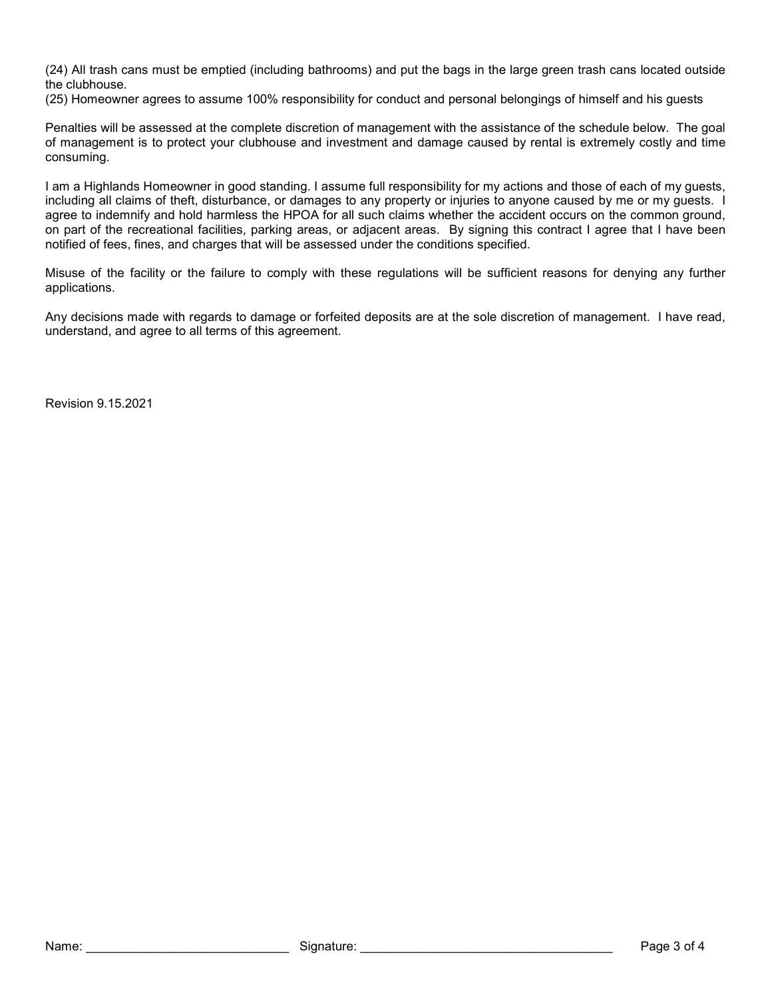(24) All trash cans must be emptied (including bathrooms) and put the bags in the large green trash cans located outside the clubhouse.

(25) Homeowner agrees to assume 100% responsibility for conduct and personal belongings of himself and his guests

Penalties will be assessed at the complete discretion of management with the assistance of the schedule below. The goal of management is to protect your clubhouse and investment and damage caused by rental is extremely costly and time consuming.

I am a Highlands Homeowner in good standing. I assume full responsibility for my actions and those of each of my guests, including all claims of theft, disturbance, or damages to any property or injuries to anyone caused by me or my guests. I agree to indemnify and hold harmless the HPOA for all such claims whether the accident occurs on the common ground, on part of the recreational facilities, parking areas, or adjacent areas. By signing this contract I agree that I have been notified of fees, fines, and charges that will be assessed under the conditions specified.

Misuse of the facility or the failure to comply with these regulations will be sufficient reasons for denying any further applications.

Any decisions made with regards to damage or forfeited deposits are at the sole discretion of management. I have read, understand, and agree to all terms of this agreement.

Revision 9.15.2021